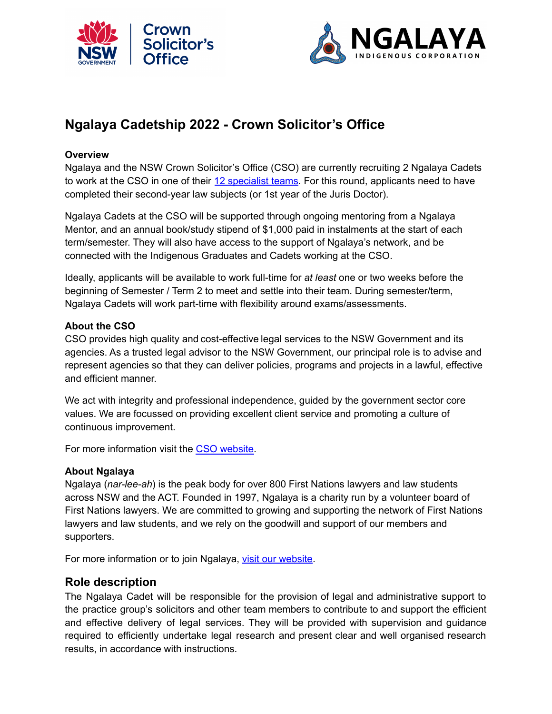



# **Ngalaya Cadetship 2022 - Crown Solicitor's Office**

## **Overview**

Ngalaya and the NSW Crown Solicitor's Office (CSO) are currently recruiting 2 Ngalaya Cadets to work at the CSO in one of their 12 [specialist](https://www.cso.nsw.gov.au/Pages/cso_ourexpertise/cso_ourexpertise.aspx) teams. For this round, applicants need to have completed their second-year law subjects (or 1st year of the Juris Doctor).

Ngalaya Cadets at the CSO will be supported through ongoing mentoring from a Ngalaya Mentor, and an annual book/study stipend of \$1,000 paid in instalments at the start of each term/semester. They will also have access to the support of Ngalaya's network, and be connected with the Indigenous Graduates and Cadets working at the CSO.

Ideally, applicants will be available to work full-time for *at least* one or two weeks before the beginning of Semester / Term 2 to meet and settle into their team. During semester/term, Ngalaya Cadets will work part-time with flexibility around exams/assessments.

#### **About the CSO**

CSO provides high quality and cost-effective legal services to the NSW Government and its agencies. As a trusted legal advisor to the NSW Government, our principal role is to advise and represent agencies so that they can deliver policies, programs and projects in a lawful, effective and efficient manner.

We act with integrity and professional independence, guided by the government sector core values. We are focussed on providing excellent client service and promoting a culture of continuous improvement.

For more information visit the CSO [website.](https://www.cso.nsw.gov.au/)

## **About Ngalaya**

Ngalaya (*nar-lee-ah*) is the peak body for over 800 First Nations lawyers and law students across NSW and the ACT. Founded in 1997, Ngalaya is a charity run by a volunteer board of First Nations lawyers. We are committed to growing and supporting the network of First Nations lawyers and law students, and we rely on the goodwill and support of our members and supporters.

For more information or to join Ngalaya, visit our [website.](https://www.ngalaya.org.au/)

# **Role description**

The Ngalaya Cadet will be responsible for the provision of legal and administrative support to the practice group's solicitors and other team members to contribute to and support the efficient and effective delivery of legal services. They will be provided with supervision and guidance required to efficiently undertake legal research and present clear and well organised research results, in accordance with instructions.